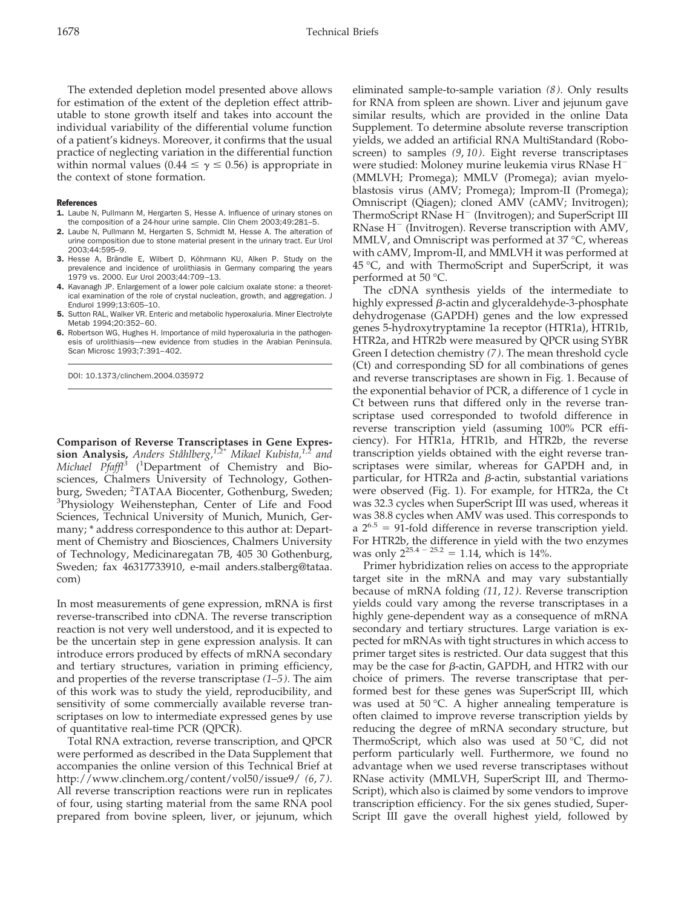The extended depletion model presented above allows for estimation of the extent of the depletion effect attributable to stone growth itself and takes into account the individual variability of the differential volume function of a patient's kidneys. Moreover, it confirms that the usual practice of neglecting variation in the differential function within normal values (0.44  $\leq \gamma \leq$  0.56) is appropriate in the context of stone formation.

## References

- 1. Laube N, Pullmann M, Hergarten S, Hesse A. Influence of urinary stones on the composition of a 24-hour urine sample. Clin Chem 2003;49:281–5.
- 2. Laube N, Pullmann M, Hergarten S, Schmidt M, Hesse A. The alteration of urine composition due to stone material present in the urinary tract. Eur Urol 2003;44:595–9.
- 3. Hesse A, Brändle E, Wilbert D, Köhrmann KU, Alken P. Study on the prevalence and incidence of urolithiasis in Germany comparing the years 1979 vs. 2000. Eur Urol 2003;44:709–13.
- 4. Kavanagh JP. Enlargement of a lower pole calcium oxalate stone: a theoretical examination of the role of crystal nucleation, growth, and aggregation. J Endurol 1999;13:605–10.
- 5. Sutton RAL, Walker VR. Enteric and metabolic hyperoxaluria. Miner Electrolyte Metab 1994;20:352–60.
- 6. Robertson WG, Hughes H. Importance of mild hyperoxaluria in the pathogenesis of urolithiasis—new evidence from studies in the Arabian Peninsula. Scan Microsc 1993;7:391–402.

DOI: 10.1373/clinchem.2004.035972

**Comparison of Reverse Transcriptases in Gene Expression Analysis,** *Anders Ståhlberg,1,2\* Mikael Kubista,1,2 and* Michael Pfaffl<sup>3</sup> (<sup>1</sup>Department of Chemistry and Biosciences, Chalmers University of Technology, Gothenburg, Sweden; <sup>2</sup>TATAA Biocenter, Gothenburg, Sweden;<br><sup>3</sup>Physiology, Weihenstenban, Center of Life and Food <sup>3</sup>Physiology Weihenstephan, Center of Life and Food Sciences, Technical University of Munich, Munich, Germany; \* address correspondence to this author at: Department of Chemistry and Biosciences, Chalmers University of Technology, Medicinaregatan 7B, 405 30 Gothenburg, Sweden; fax 46317733910, e-mail anders.stalberg@tataa. com)

In most measurements of gene expression, mRNA is first reverse-transcribed into cDNA. The reverse transcription reaction is not very well understood, and it is expected to be the uncertain step in gene expression analysis. It can introduce errors produced by effects of mRNA secondary and tertiary structures, variation in priming efficiency, and properties of the reverse transcriptase *(1–5)*. The aim of this work was to study the yield, reproducibility, and sensitivity of some commercially available reverse transcriptases on low to intermediate expressed genes by use of quantitative real-time PCR (QPCR).

Total RNA extraction, reverse transcription, and QPCR were performed as described in the Data Supplement that accompanies the online version of this Technical Brief at http://www.clinchem.org/content/vol50/issue9/ *(6*, *7)*. All reverse transcription reactions were run in replicates of four, using starting material from the same RNA pool prepared from bovine spleen, liver, or jejunum, which

eliminated sample-to-sample variation *(8)*. Only results for RNA from spleen are shown. Liver and jejunum gave similar results, which are provided in the online Data Supplement. To determine absolute reverse transcription yields, we added an artificial RNA MultiStandard (Roboscreen) to samples *(9*, *10)*. Eight reverse transcriptases were studied: Moloney murine leukemia virus RNase H<sup>-</sup> (MMLVH; Promega); MMLV (Promega); avian myeloblastosis virus (AMV; Promega); Improm-II (Promega); Omniscript (Qiagen); cloned AMV (cAMV; Invitrogen); ThermoScript RNase H<sup>-</sup> (Invitrogen); and SuperScript III  $RN$ ase  $H^-$  (Invitrogen). Reverse transcription with AMV, MMLV, and Omniscript was performed at 37 °C, whereas with cAMV, Improm-II, and MMLVH it was performed at 45 °C, and with ThermoScript and SuperScript, it was performed at 50 °C.

The cDNA synthesis yields of the intermediate to highly expressed  $\beta$ -actin and glyceraldehyde-3-phosphate dehydrogenase (GAPDH) genes and the low expressed genes 5-hydroxytryptamine 1a receptor (HTR1a), HTR1b, HTR2a, and HTR2b were measured by QPCR using SYBR Green I detection chemistry *(7)*. The mean threshold cycle (Ct) and corresponding SD for all combinations of genes and reverse transcriptases are shown in Fig. 1. Because of the exponential behavior of PCR, a difference of 1 cycle in Ct between runs that differed only in the reverse transcriptase used corresponded to twofold difference in reverse transcription yield (assuming 100% PCR efficiency). For HTR1a, HTR1b, and HTR2b, the reverse transcription yields obtained with the eight reverse transcriptases were similar, whereas for GAPDH and, in particular, for HTR2a and  $\beta$ -actin, substantial variations were observed (Fig. 1). For example, for HTR2a, the Ct was 32.3 cycles when SuperScript III was used, whereas it was 38.8 cycles when AMV was used. This corresponds to  $a 2^{6.5} = 91$ -fold difference in reverse transcription yield. For HTR2b, the difference in yield with the two enzymes was only  $2^{25.4 - 25.2} = 1.14$ , which is 14%.

Primer hybridization relies on access to the appropriate target site in the mRNA and may vary substantially because of mRNA folding *(11*, *12)*. Reverse transcription yields could vary among the reverse transcriptases in a highly gene-dependent way as a consequence of mRNA secondary and tertiary structures. Large variation is expected for mRNAs with tight structures in which access to primer target sites is restricted. Our data suggest that this may be the case for  $\beta$ -actin, GAPDH, and HTR2 with our choice of primers. The reverse transcriptase that performed best for these genes was SuperScript III, which was used at 50 °C. A higher annealing temperature is often claimed to improve reverse transcription yields by reducing the degree of mRNA secondary structure, but ThermoScript, which also was used at 50 °C, did not perform particularly well. Furthermore, we found no advantage when we used reverse transcriptases without RNase activity (MMLVH, SuperScript III, and Thermo-Script), which also is claimed by some vendors to improve transcription efficiency. For the six genes studied, Super-Script III gave the overall highest yield, followed by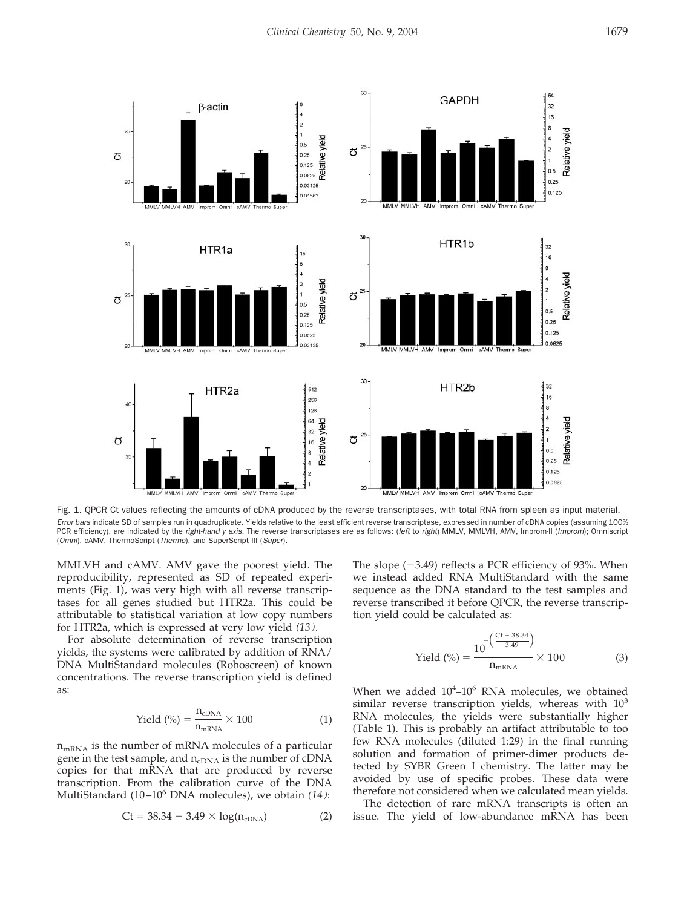

Fig. 1. QPCR Ct values reflecting the amounts of cDNA produced by the reverse transcriptases, with total RNA from spleen as input material. *Error bars* indicate SD of samples run in quadruplicate. Yields relative to the least efficient reverse transcriptase, expressed in number of cDNA copies (assuming 100% PCR efficiency), are indicated by the *right-hand y axis*. The reverse transcriptases are as follows: (*left* to *right*) MMLV, MMLVH, AMV, Improm-II (*Improm*); Omniscript (*Omni*), cAMV, ThermoScript (*Thermo*), and SuperScript III (*Super*).

MMLVH and cAMV. AMV gave the poorest yield. The reproducibility, represented as SD of repeated experiments (Fig. 1), was very high with all reverse transcriptases for all genes studied but HTR2a. This could be attributable to statistical variation at low copy numbers for HTR2a, which is expressed at very low yield *(13)*.

For absolute determination of reverse transcription yields, the systems were calibrated by addition of RNA/ DNA MultiStandard molecules (Roboscreen) of known concentrations. The reverse transcription yield is defined as:

$$
Yield \text{ (%)} = \frac{n_{cDNA}}{n_{mRNA}} \times 100 \tag{1}
$$

 $n<sub>mRNA</sub>$  is the number of mRNA molecules of a particular gene in the test sample, and  $n_{cDNA}$  is the number of cDNA copies for that mRNA that are produced by reverse transcription. From the calibration curve of the DNA MultiStandard (10–106 DNA molecules), we obtain *(14)*:

$$
Ct = 38.34 - 3.49 \times \log(n_{cDNA})
$$
 (2)

The slope  $(-3.49)$  reflects a PCR efficiency of 93%. When we instead added RNA MultiStandard with the same sequence as the DNA standard to the test samples and reverse transcribed it before QPCR, the reverse transcription yield could be calculated as:

Yield (%) = 
$$
\frac{10^{-\left(\frac{Ct - 38.34}{3.49}\right)}}{n_{mRNA}} \times 100
$$
 (3)

When we added  $10^4$ -10<sup>6</sup> RNA molecules, we obtained similar reverse transcription yields, whereas with  $10<sup>3</sup>$ RNA molecules, the yields were substantially higher (Table 1). This is probably an artifact attributable to too few RNA molecules (diluted 1:29) in the final running solution and formation of primer-dimer products detected by SYBR Green I chemistry. The latter may be avoided by use of specific probes. These data were therefore not considered when we calculated mean yields.

The detection of rare mRNA transcripts is often an issue. The yield of low-abundance mRNA has been